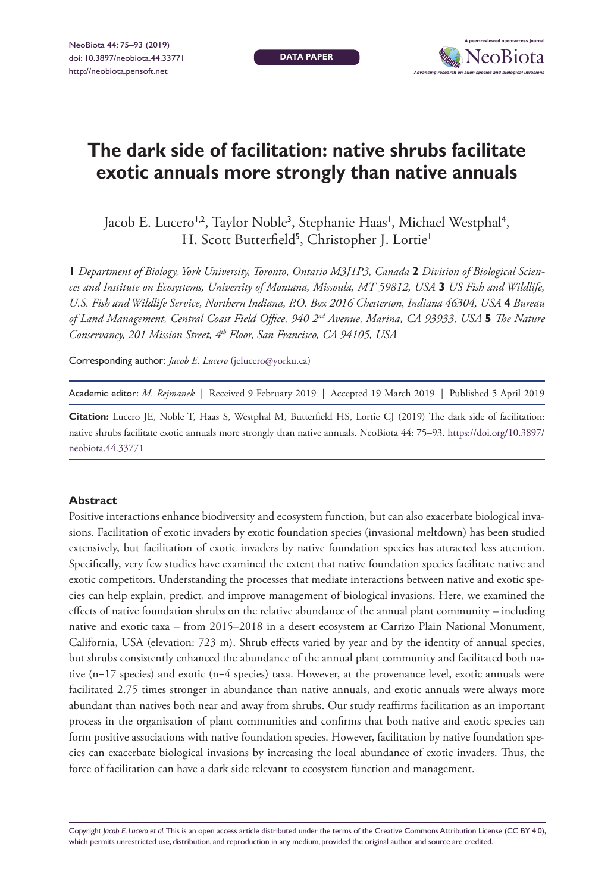**DATA PAPER**



# **The dark side of facilitation: native shrubs facilitate exotic annuals more strongly than native annuals**

Jacob E. Lucero<sup>1,2</sup>, Taylor Noble<sup>3</sup>, Stephanie Haas', Michael Westphal<sup>4</sup>, H. Scott Butterfield<sup>5</sup>, Christopher J. Lortie<sup>1</sup>

**1** *Department of Biology, York University, Toronto, Ontario M3J1P3, Canada* **2** *Division of Biological Sciences and Institute on Ecosystems, University of Montana, Missoula, MT 59812, USA* **3** *US Fish and Wildlife, U.S. Fish and Wildlife Service, Northern Indiana, P.O. Box 2016 Chesterton, Indiana 46304, USA* **4** *Bureau of Land Management, Central Coast Field Office, 940 2nd Avenue, Marina, CA 93933, USA* **5** *The Nature Conservancy, 201 Mission Street, 4th Floor, San Francisco, CA 94105, USA*

Corresponding author: *Jacob E. Lucero* [\(jelucero@yorku.ca](mailto:jelucero@yorku.ca))

Academic editor: *M. Rejmanek* | Received 9 February 2019 | Accepted 19 March 2019 | Published 5 April 2019

**Citation:** Lucero JE, Noble T, Haas S, Westphal M, Butterfield HS, Lortie CJ (2019) The dark side of facilitation: native shrubs facilitate exotic annuals more strongly than native annuals. NeoBiota 44: 75–93. [https://doi.org/10.3897/](https://doi.org/10.3897/neobiota.44.33771) [neobiota.44.33771](https://doi.org/10.3897/neobiota.44.33771)

#### **Abstract**

Positive interactions enhance biodiversity and ecosystem function, but can also exacerbate biological invasions. Facilitation of exotic invaders by exotic foundation species (invasional meltdown) has been studied extensively, but facilitation of exotic invaders by native foundation species has attracted less attention. Specifically, very few studies have examined the extent that native foundation species facilitate native and exotic competitors. Understanding the processes that mediate interactions between native and exotic species can help explain, predict, and improve management of biological invasions. Here, we examined the effects of native foundation shrubs on the relative abundance of the annual plant community – including native and exotic taxa – from 2015–2018 in a desert ecosystem at Carrizo Plain National Monument, California, USA (elevation: 723 m). Shrub effects varied by year and by the identity of annual species, but shrubs consistently enhanced the abundance of the annual plant community and facilitated both native (n=17 species) and exotic (n=4 species) taxa. However, at the provenance level, exotic annuals were facilitated 2.75 times stronger in abundance than native annuals, and exotic annuals were always more abundant than natives both near and away from shrubs. Our study reaffirms facilitation as an important process in the organisation of plant communities and confirms that both native and exotic species can form positive associations with native foundation species. However, facilitation by native foundation species can exacerbate biological invasions by increasing the local abundance of exotic invaders. Thus, the force of facilitation can have a dark side relevant to ecosystem function and management.

Copyright *Jacob E. Lucero et al.* This is an open access article distributed under the terms of the [Creative Commons Attribution License \(CC BY 4.0\),](http://creativecommons.org/licenses/by/4.0/) which permits unrestricted use, distribution, and reproduction in any medium, provided the original author and source are credited.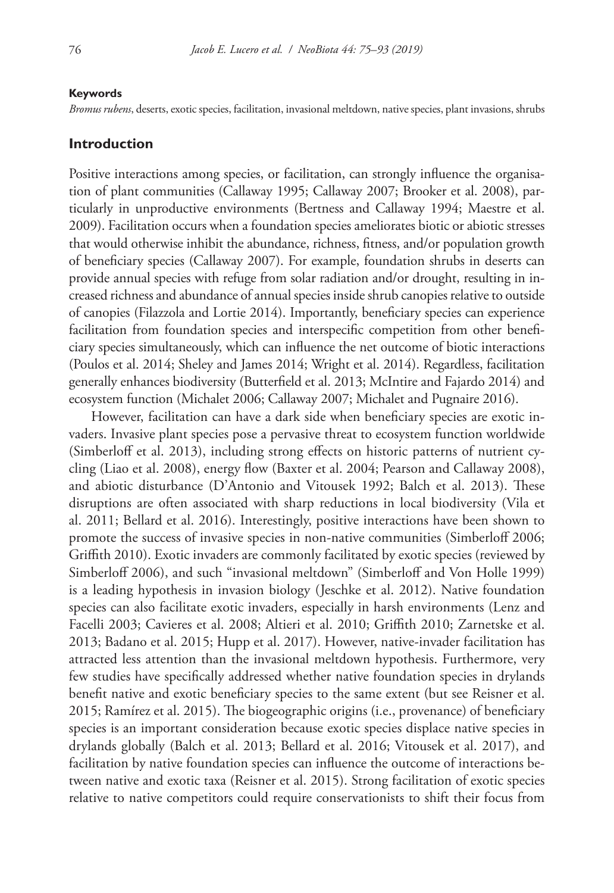#### **Keywords**

*Bromus rubens*, deserts, exotic species, facilitation, invasional meltdown, native species, plant invasions, shrubs

#### **Introduction**

Positive interactions among species, or facilitation, can strongly influence the organisation of plant communities (Callaway 1995; Callaway 2007; Brooker et al. 2008), particularly in unproductive environments (Bertness and Callaway 1994; Maestre et al. 2009). Facilitation occurs when a foundation species ameliorates biotic or abiotic stresses that would otherwise inhibit the abundance, richness, fitness, and/or population growth of beneficiary species (Callaway 2007). For example, foundation shrubs in deserts can provide annual species with refuge from solar radiation and/or drought, resulting in increased richness and abundance of annual species inside shrub canopies relative to outside of canopies (Filazzola and Lortie 2014). Importantly, beneficiary species can experience facilitation from foundation species and interspecific competition from other beneficiary species simultaneously, which can influence the net outcome of biotic interactions (Poulos et al. 2014; Sheley and James 2014; Wright et al. 2014). Regardless, facilitation generally enhances biodiversity (Butterfield et al. 2013; McIntire and Fajardo 2014) and ecosystem function (Michalet 2006; Callaway 2007; Michalet and Pugnaire 2016).

However, facilitation can have a dark side when beneficiary species are exotic invaders. Invasive plant species pose a pervasive threat to ecosystem function worldwide (Simberloff et al. 2013), including strong effects on historic patterns of nutrient cycling (Liao et al. 2008), energy flow (Baxter et al. 2004; Pearson and Callaway 2008), and abiotic disturbance (D'Antonio and Vitousek 1992; Balch et al. 2013). These disruptions are often associated with sharp reductions in local biodiversity (Vila et al. 2011; Bellard et al. 2016). Interestingly, positive interactions have been shown to promote the success of invasive species in non-native communities (Simberloff 2006; Griffith 2010). Exotic invaders are commonly facilitated by exotic species (reviewed by Simberloff 2006), and such "invasional meltdown" (Simberloff and Von Holle 1999) is a leading hypothesis in invasion biology (Jeschke et al. 2012). Native foundation species can also facilitate exotic invaders, especially in harsh environments (Lenz and Facelli 2003; Cavieres et al. 2008; Altieri et al. 2010; Griffith 2010; Zarnetske et al. 2013; Badano et al. 2015; Hupp et al. 2017). However, native-invader facilitation has attracted less attention than the invasional meltdown hypothesis. Furthermore, very few studies have specifically addressed whether native foundation species in drylands benefit native and exotic beneficiary species to the same extent (but see Reisner et al. 2015; Ramírez et al. 2015). The biogeographic origins (i.e., provenance) of beneficiary species is an important consideration because exotic species displace native species in drylands globally (Balch et al. 2013; Bellard et al. 2016; Vitousek et al. 2017), and facilitation by native foundation species can influence the outcome of interactions between native and exotic taxa (Reisner et al. 2015). Strong facilitation of exotic species relative to native competitors could require conservationists to shift their focus from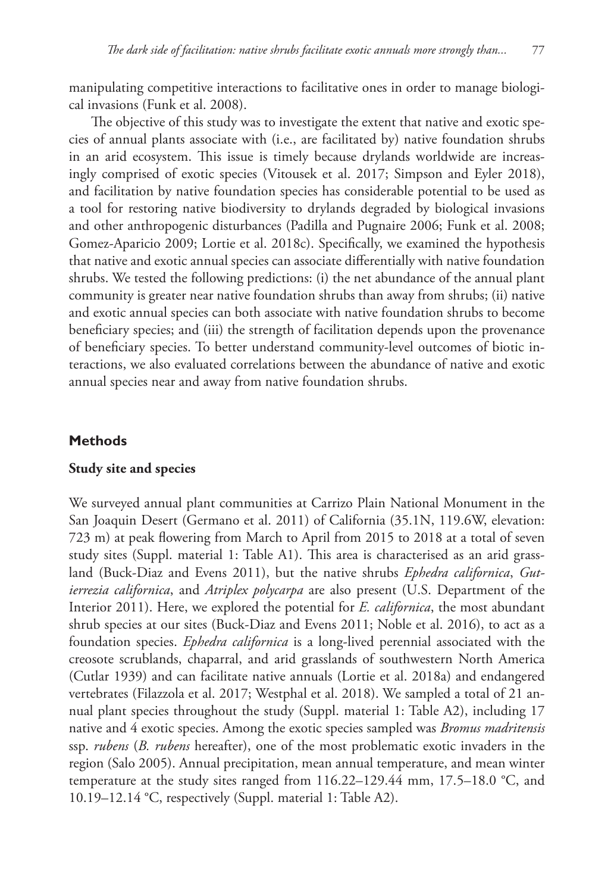manipulating competitive interactions to facilitative ones in order to manage biological invasions (Funk et al. 2008).

The objective of this study was to investigate the extent that native and exotic species of annual plants associate with (i.e., are facilitated by) native foundation shrubs in an arid ecosystem. This issue is timely because drylands worldwide are increasingly comprised of exotic species (Vitousek et al. 2017; Simpson and Eyler 2018), and facilitation by native foundation species has considerable potential to be used as a tool for restoring native biodiversity to drylands degraded by biological invasions and other anthropogenic disturbances (Padilla and Pugnaire 2006; Funk et al. 2008; Gomez-Aparicio 2009; Lortie et al. 2018c). Specifically, we examined the hypothesis that native and exotic annual species can associate differentially with native foundation shrubs. We tested the following predictions: (i) the net abundance of the annual plant community is greater near native foundation shrubs than away from shrubs; (ii) native and exotic annual species can both associate with native foundation shrubs to become beneficiary species; and (iii) the strength of facilitation depends upon the provenance of beneficiary species. To better understand community-level outcomes of biotic interactions, we also evaluated correlations between the abundance of native and exotic annual species near and away from native foundation shrubs.

### **Methods**

## **Study site and species**

We surveyed annual plant communities at Carrizo Plain National Monument in the San Joaquin Desert (Germano et al. 2011) of California (35.1N, 119.6W, elevation: 723 m) at peak flowering from March to April from 2015 to 2018 at a total of seven study sites (Suppl. material 1: Table A1). This area is characterised as an arid grassland (Buck-Diaz and Evens 2011), but the native shrubs *Ephedra californica*, *Gutierrezia californica*, and *Atriplex polycarpa* are also present (U.S. Department of the Interior 2011). Here, we explored the potential for *E. californica*, the most abundant shrub species at our sites (Buck-Diaz and Evens 2011; Noble et al. 2016), to act as a foundation species. *Ephedra californica* is a long-lived perennial associated with the creosote scrublands, chaparral, and arid grasslands of southwestern North America (Cutlar 1939) and can facilitate native annuals (Lortie et al. 2018a) and endangered vertebrates (Filazzola et al. 2017; Westphal et al. 2018). We sampled a total of 21 annual plant species throughout the study (Suppl. material 1: Table A2), including 17 native and 4 exotic species. Among the exotic species sampled was *Bromus madritensis*  ssp. *rubens* (*B. rubens* hereafter), one of the most problematic exotic invaders in the region (Salo 2005). Annual precipitation, mean annual temperature, and mean winter temperature at the study sites ranged from 116.22–129.44 mm, 17.5–18.0 °C, and 10.19–12.14 °C, respectively (Suppl. material 1: Table A2).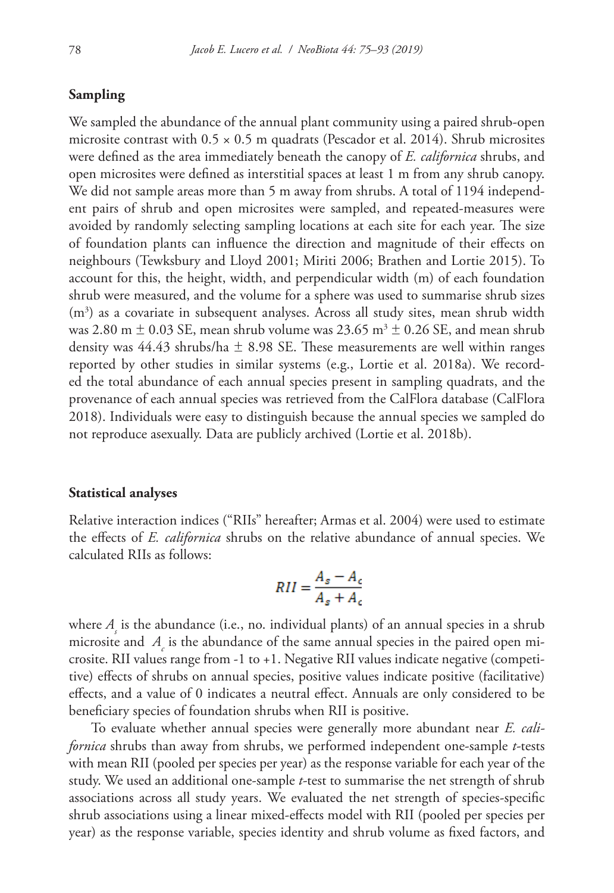### **Sampling**

We sampled the abundance of the annual plant community using a paired shrub-open microsite contrast with  $0.5 \times 0.5$  m quadrats (Pescador et al. 2014). Shrub microsites were defined as the area immediately beneath the canopy of *E. californica* shrubs, and open microsites were defined as interstitial spaces at least 1 m from any shrub canopy. We did not sample areas more than 5 m away from shrubs. A total of 1194 independent pairs of shrub and open microsites were sampled, and repeated-measures were avoided by randomly selecting sampling locations at each site for each year. The size of foundation plants can influence the direction and magnitude of their effects on neighbours (Tewksbury and Lloyd 2001; Miriti 2006; Brathen and Lortie 2015). To account for this, the height, width, and perpendicular width (m) of each foundation shrub were measured, and the volume for a sphere was used to summarise shrub sizes (m3 ) as a covariate in subsequent analyses. Across all study sites, mean shrub width was 2.80 m  $\pm$  0.03 SE, mean shrub volume was 23.65 m<sup>3</sup>  $\pm$  0.26 SE, and mean shrub density was  $44.43$  shrubs/ha  $\pm$  8.98 SE. These measurements are well within ranges reported by other studies in similar systems (e.g., Lortie et al. 2018a). We recorded the total abundance of each annual species present in sampling quadrats, and the provenance of each annual species was retrieved from the CalFlora database (CalFlora 2018). Individuals were easy to distinguish because the annual species we sampled do not reproduce asexually. Data are publicly archived (Lortie et al. 2018b).

#### **Statistical analyses**

Relative interaction indices ("RIIs" hereafter; Armas et al. 2004) were used to estimate the effects of *E. californica* shrubs on the relative abundance of annual species. We calculated RIIs as follows:

$$
RII = \frac{A_s - A_c}{A_s + A_c}
$$

where *A<sub>s</sub>* is the abundance (i.e., no. individual plants) of an annual species in a shrub microsite and  $A_c$  is the abundance of the same annual species in the paired open microsite. RII values range from -1 to +1. Negative RII values indicate negative (competitive) effects of shrubs on annual species, positive values indicate positive (facilitative) effects, and a value of 0 indicates a neutral effect. Annuals are only considered to be beneficiary species of foundation shrubs when RII is positive.

To evaluate whether annual species were generally more abundant near *E. californica* shrubs than away from shrubs, we performed independent one-sample *t-*tests with mean RII (pooled per species per year) as the response variable for each year of the study. We used an additional one-sample *t-*test to summarise the net strength of shrub associations across all study years. We evaluated the net strength of species-specific shrub associations using a linear mixed-effects model with RII (pooled per species per year) as the response variable, species identity and shrub volume as fixed factors, and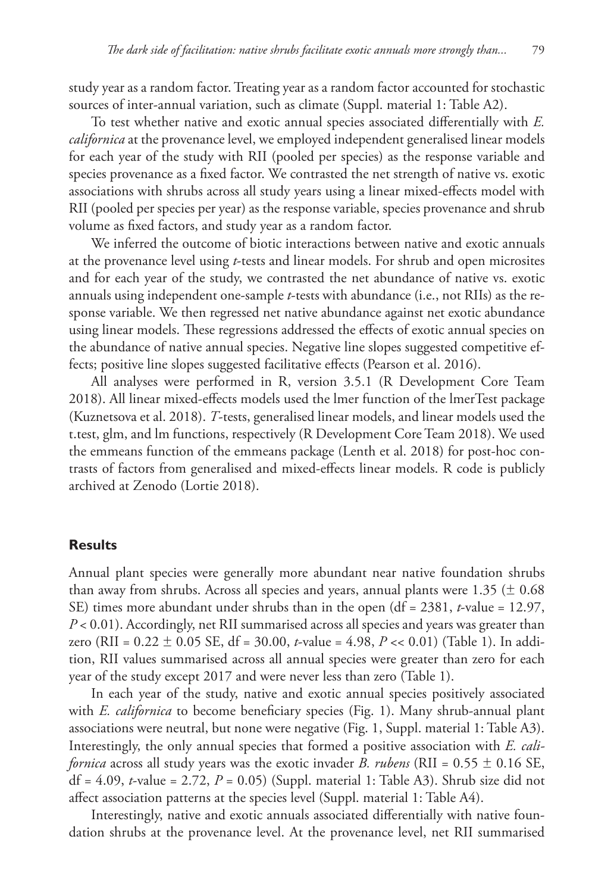study year as a random factor. Treating year as a random factor accounted for stochastic sources of inter-annual variation, such as climate (Suppl. material 1: Table A2).

To test whether native and exotic annual species associated differentially with *E. californica* at the provenance level, we employed independent generalised linear models for each year of the study with RII (pooled per species) as the response variable and species provenance as a fixed factor. We contrasted the net strength of native vs. exotic associations with shrubs across all study years using a linear mixed-effects model with RII (pooled per species per year) as the response variable, species provenance and shrub volume as fixed factors, and study year as a random factor.

We inferred the outcome of biotic interactions between native and exotic annuals at the provenance level using *t*-tests and linear models. For shrub and open microsites and for each year of the study, we contrasted the net abundance of native vs. exotic annuals using independent one-sample *t*-tests with abundance (i.e., not RIIs) as the response variable. We then regressed net native abundance against net exotic abundance using linear models. These regressions addressed the effects of exotic annual species on the abundance of native annual species. Negative line slopes suggested competitive effects; positive line slopes suggested facilitative effects (Pearson et al. 2016).

All analyses were performed in R, version 3.5.1 (R Development Core Team 2018). All linear mixed-effects models used the lmer function of the lmerTest package (Kuznetsova et al. 2018). *T*-tests, generalised linear models, and linear models used the t.test, glm, and lm functions, respectively (R Development Core Team 2018). We used the emmeans function of the emmeans package (Lenth et al. 2018) for post-hoc contrasts of factors from generalised and mixed-effects linear models. R code is publicly archived at Zenodo (Lortie 2018).

#### **Results**

Annual plant species were generally more abundant near native foundation shrubs than away from shrubs. Across all species and years, annual plants were 1.35 ( $\pm$  0.68 SE) times more abundant under shrubs than in the open (df = 2381, *t*-value = 12.97, *P* < 0.01). Accordingly, net RII summarised across all species and years was greater than zero (RII = 0.22 ± 0.05 SE, df = 30.00, *t*-value = 4.98, *P* << 0.01) (Table 1). In addition, RII values summarised across all annual species were greater than zero for each year of the study except 2017 and were never less than zero (Table 1).

In each year of the study, native and exotic annual species positively associated with *E. californica* to become beneficiary species (Fig. 1). Many shrub-annual plant associations were neutral, but none were negative (Fig. 1, Suppl. material 1: Table A3). Interestingly, the only annual species that formed a positive association with *E. californica* across all study years was the exotic invader *B. rubens* (RII =  $0.55 \pm 0.16$  SE, df = 4.09, *t*-value = 2.72, *P* = 0.05) (Suppl. material 1: Table A3). Shrub size did not affect association patterns at the species level (Suppl. material 1: Table A4).

Interestingly, native and exotic annuals associated differentially with native foundation shrubs at the provenance level. At the provenance level, net RII summarised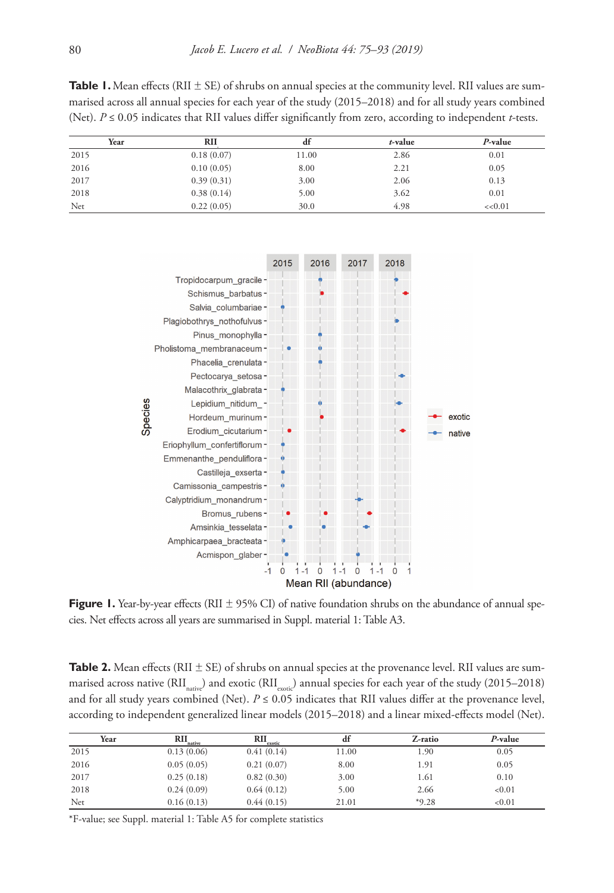**Table 1.** Mean effects (RII  $\pm$  SE) of shrubs on annual species at the community level. RII values are summarised across all annual species for each year of the study (2015–2018) and for all study years combined (Net). *P* ≤ 0.05 indicates that RII values differ significantly from zero, according to independent *t-*tests.

| Year | RII        | df    | t-value | $P$ -value |
|------|------------|-------|---------|------------|
| 2015 | 0.18(0.07) | 11.00 | 2.86    | 0.01       |
| 2016 | 0.10(0.05) | 8.00  | 2.21    | 0.05       |
| 2017 | 0.39(0.31) | 3.00  | 2.06    | 0.13       |
| 2018 | 0.38(0.14) | 5.00  | 3.62    | 0.01       |
| Net  | 0.22(0.05) | 30.0  | 4.98    | <<0.01     |



**Figure 1.** Year-by-year effects (RII  $\pm$  95% CI) of native foundation shrubs on the abundance of annual species. Net effects across all years are summarised in Suppl. material 1: Table A3.

**Table 2.** Mean effects (RII  $\pm$  SE) of shrubs on annual species at the provenance level. RII values are summarised across native ( $RII_{native}$ ) and exotic ( $RII_{exotic}$ ) annual species for each year of the study (2015–2018) and for all study years combined (Net).  $P \le 0.05$  indicates that RII values differ at the provenance level, according to independent generalized linear models (2015–2018) and a linear mixed-effects model (Net).

| Year | $\frac{RII_{\text{naitive}}}{\sqrt{2}}$ | $\text{RII}_{\text{exotic}}$ | df    | Z-ratio | P-value |
|------|-----------------------------------------|------------------------------|-------|---------|---------|
| 2015 | 0.13(0.06)                              | 0.41(0.14)                   | 11.00 | 1.90    | 0.05    |
| 2016 | 0.05(0.05)                              | 0.21(0.07)                   | 8.00  | 1.91    | 0.05    |
| 2017 | 0.25(0.18)                              | 0.82(0.30)                   | 3.00  | 1.61    | 0.10    |
| 2018 | 0.24(0.09)                              | 0.64(0.12)                   | 5.00  | 2.66    | < 0.01  |
| Net  | 0.16(0.13)                              | 0.44(0.15)                   | 21.01 | $*9.28$ | < 0.01  |

\*F-value; see Suppl. material 1: Table A5 for complete statistics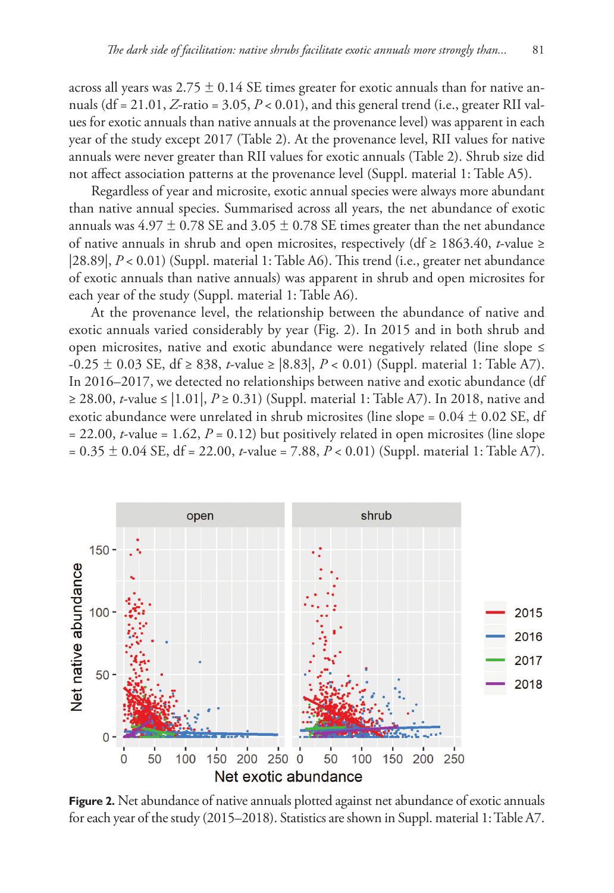across all years was  $2.75 \pm 0.14$  SE times greater for exotic annuals than for native annuals (df =  $21.01$ ,  $Z$ -ratio =  $3.05$ ,  $P < 0.01$ ), and this general trend (i.e., greater RII values for exotic annuals than native annuals at the provenance level) was apparent in each year of the study except 2017 (Table 2). At the provenance level, RII values for native annuals were never greater than RII values for exotic annuals (Table 2). Shrub size did not affect association patterns at the provenance level (Suppl. material 1: Table A5).

Regardless of year and microsite, exotic annual species were always more abundant than native annual species. Summarised across all years, the net abundance of exotic annuals was  $4.97 \pm 0.78$  SE and  $3.05 \pm 0.78$  SE times greater than the net abundance of native annuals in shrub and open microsites, respectively (df  $\geq 1863.40$ , *t*-value  $\geq$ |28.89|, *P* < 0.01) (Suppl. material 1: Table A6). This trend (i.e., greater net abundance of exotic annuals than native annuals) was apparent in shrub and open microsites for each year of the study (Suppl. material 1: Table A6).

At the provenance level, the relationship between the abundance of native and exotic annuals varied considerably by year (Fig. 2). In 2015 and in both shrub and open microsites, native and exotic abundance were negatively related (line slope  $\leq$ -0.25 ± 0.03 SE, df ≥ 838, *t*-value ≥ |8.83|, *P* < 0.01) (Suppl. material 1: Table A7). In 2016–2017, we detected no relationships between native and exotic abundance (df ≥ 28.00, *t*-value ≤ |1.01|, *P* ≥ 0.31) (Suppl. material 1: Table A7). In 2018, native and exotic abundance were unrelated in shrub microsites (line slope =  $0.04 \pm 0.02$  SE, df  $= 22.00$ , *t*-value = 1.62, *P* = 0.12) but positively related in open microsites (line slope = 0.35 ± 0.04 SE, df = 22.00, *t*-value = 7.88, *P* < 0.01) (Suppl. material 1: Table A7).



**Figure 2.** Net abundance of native annuals plotted against net abundance of exotic annuals for each year of the study (2015–2018). Statistics are shown in Suppl. material 1: Table A7.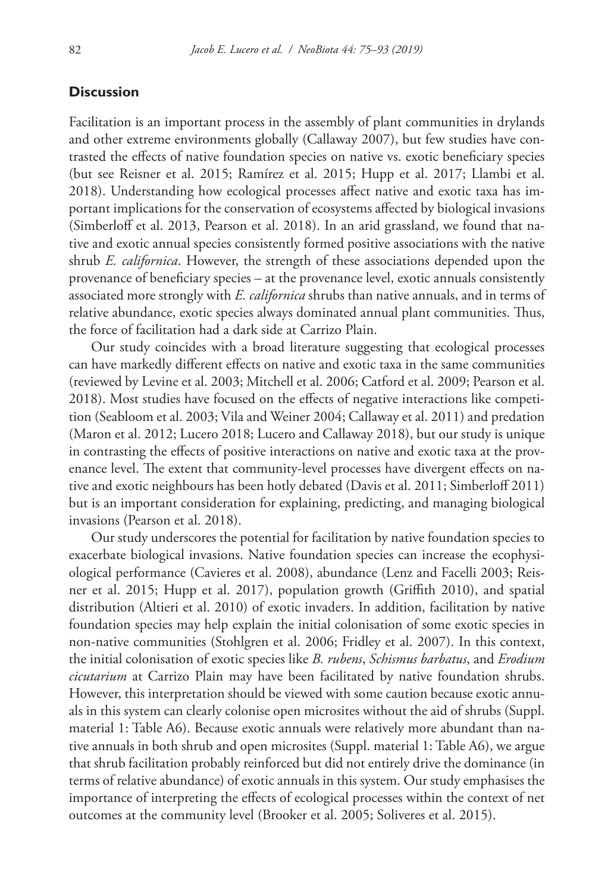## **Discussion**

Facilitation is an important process in the assembly of plant communities in drylands and other extreme environments globally (Callaway 2007), but few studies have contrasted the effects of native foundation species on native vs. exotic beneficiary species (but see Reisner et al. 2015; Ramírez et al. 2015; Hupp et al. 2017; Llambi et al. 2018). Understanding how ecological processes affect native and exotic taxa has important implications for the conservation of ecosystems affected by biological invasions (Simberloff et al. 2013, Pearson et al. 2018). In an arid grassland, we found that native and exotic annual species consistently formed positive associations with the native shrub *E. californica*. However, the strength of these associations depended upon the provenance of beneficiary species – at the provenance level, exotic annuals consistently associated more strongly with *E. californica* shrubs than native annuals, and in terms of relative abundance, exotic species always dominated annual plant communities. Thus, the force of facilitation had a dark side at Carrizo Plain.

Our study coincides with a broad literature suggesting that ecological processes can have markedly different effects on native and exotic taxa in the same communities (reviewed by Levine et al. 2003; Mitchell et al. 2006; Catford et al. 2009; Pearson et al. 2018). Most studies have focused on the effects of negative interactions like competition (Seabloom et al. 2003; Vila and Weiner 2004; Callaway et al. 2011) and predation (Maron et al. 2012; Lucero 2018; Lucero and Callaway 2018), but our study is unique in contrasting the effects of positive interactions on native and exotic taxa at the provenance level. The extent that community-level processes have divergent effects on native and exotic neighbours has been hotly debated (Davis et al. 2011; Simberloff 2011) but is an important consideration for explaining, predicting, and managing biological invasions (Pearson et al. 2018).

Our study underscores the potential for facilitation by native foundation species to exacerbate biological invasions. Native foundation species can increase the ecophysiological performance (Cavieres et al. 2008), abundance (Lenz and Facelli 2003; Reisner et al. 2015; Hupp et al. 2017), population growth (Griffith 2010), and spatial distribution (Altieri et al. 2010) of exotic invaders. In addition, facilitation by native foundation species may help explain the initial colonisation of some exotic species in non-native communities (Stohlgren et al. 2006; Fridley et al. 2007). In this context, the initial colonisation of exotic species like *B. rubens*, *Schismus barbatus*, and *Erodium cicutarium* at Carrizo Plain may have been facilitated by native foundation shrubs. However, this interpretation should be viewed with some caution because exotic annuals in this system can clearly colonise open microsites without the aid of shrubs (Suppl. material 1: Table A6). Because exotic annuals were relatively more abundant than native annuals in both shrub and open microsites (Suppl. material 1: Table A6), we argue that shrub facilitation probably reinforced but did not entirely drive the dominance (in terms of relative abundance) of exotic annuals in this system. Our study emphasises the importance of interpreting the effects of ecological processes within the context of net outcomes at the community level (Brooker et al. 2005; Soliveres et al. 2015).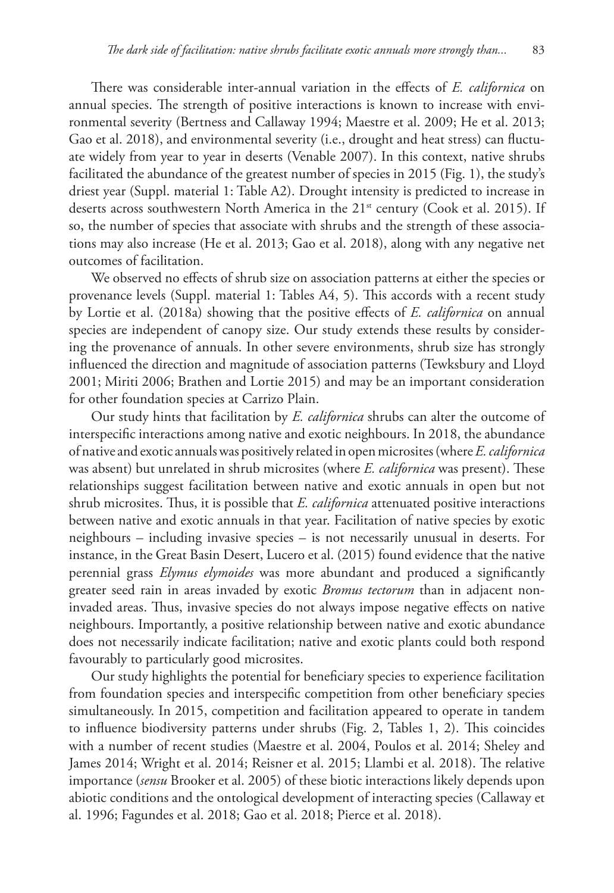There was considerable inter-annual variation in the effects of *E. californica* on annual species. The strength of positive interactions is known to increase with environmental severity (Bertness and Callaway 1994; Maestre et al. 2009; He et al. 2013; Gao et al. 2018), and environmental severity (i.e., drought and heat stress) can fluctuate widely from year to year in deserts (Venable 2007). In this context, native shrubs facilitated the abundance of the greatest number of species in 2015 (Fig. 1), the study's driest year (Suppl. material 1: Table A2). Drought intensity is predicted to increase in deserts across southwestern North America in the 21<sup>st</sup> century (Cook et al. 2015). If so, the number of species that associate with shrubs and the strength of these associations may also increase (He et al. 2013; Gao et al. 2018), along with any negative net outcomes of facilitation.

We observed no effects of shrub size on association patterns at either the species or provenance levels (Suppl. material 1: Tables A4, 5). This accords with a recent study by Lortie et al. (2018a) showing that the positive effects of *E. californica* on annual species are independent of canopy size. Our study extends these results by considering the provenance of annuals. In other severe environments, shrub size has strongly influenced the direction and magnitude of association patterns (Tewksbury and Lloyd 2001; Miriti 2006; Brathen and Lortie 2015) and may be an important consideration for other foundation species at Carrizo Plain.

Our study hints that facilitation by *E. californica* shrubs can alter the outcome of interspecific interactions among native and exotic neighbours. In 2018, the abundance of native and exotic annuals was positively related in open microsites (where *E. californica* was absent) but unrelated in shrub microsites (where *E. californica* was present). These relationships suggest facilitation between native and exotic annuals in open but not shrub microsites. Thus, it is possible that *E. californica* attenuated positive interactions between native and exotic annuals in that year. Facilitation of native species by exotic neighbours – including invasive species – is not necessarily unusual in deserts. For instance, in the Great Basin Desert, Lucero et al. (2015) found evidence that the native perennial grass *Elymus elymoides* was more abundant and produced a significantly greater seed rain in areas invaded by exotic *Bromus tectorum* than in adjacent noninvaded areas. Thus, invasive species do not always impose negative effects on native neighbours. Importantly, a positive relationship between native and exotic abundance does not necessarily indicate facilitation; native and exotic plants could both respond favourably to particularly good microsites.

Our study highlights the potential for beneficiary species to experience facilitation from foundation species and interspecific competition from other beneficiary species simultaneously. In 2015, competition and facilitation appeared to operate in tandem to influence biodiversity patterns under shrubs (Fig. 2, Tables 1, 2). This coincides with a number of recent studies (Maestre et al. 2004, Poulos et al. 2014; Sheley and James 2014; Wright et al. 2014; Reisner et al. 2015; Llambi et al. 2018). The relative importance (*sensu* Brooker et al. 2005) of these biotic interactions likely depends upon abiotic conditions and the ontological development of interacting species (Callaway et al. 1996; Fagundes et al. 2018; Gao et al. 2018; Pierce et al. 2018).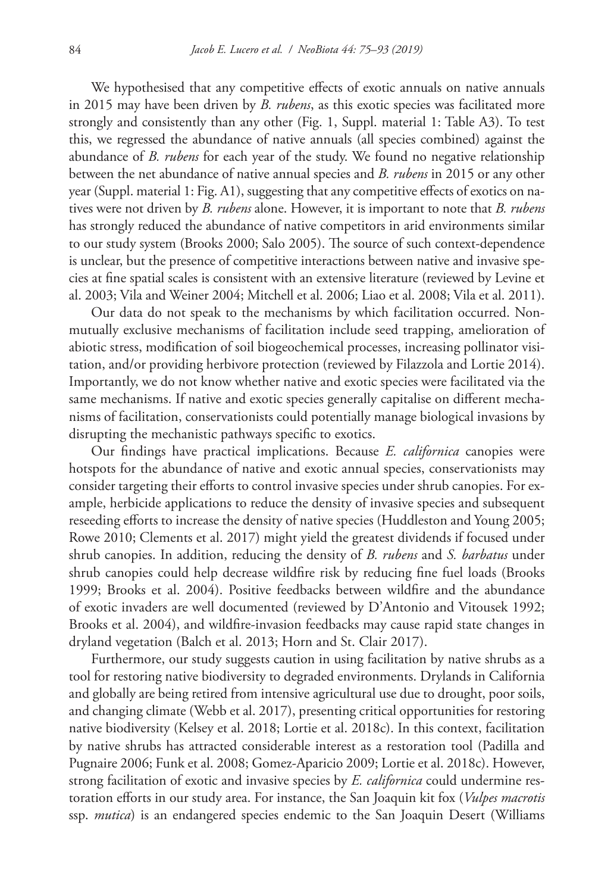We hypothesised that any competitive effects of exotic annuals on native annuals in 2015 may have been driven by *B. rubens*, as this exotic species was facilitated more strongly and consistently than any other (Fig. 1, Suppl. material 1: Table A3). To test this, we regressed the abundance of native annuals (all species combined) against the abundance of *B. rubens* for each year of the study. We found no negative relationship between the net abundance of native annual species and *B. rubens* in 2015 or any other year (Suppl. material 1: Fig. A1), suggesting that any competitive effects of exotics on natives were not driven by *B. rubens* alone. However, it is important to note that *B. rubens*  has strongly reduced the abundance of native competitors in arid environments similar to our study system (Brooks 2000; Salo 2005). The source of such context-dependence is unclear, but the presence of competitive interactions between native and invasive species at fine spatial scales is consistent with an extensive literature (reviewed by Levine et al. 2003; Vila and Weiner 2004; Mitchell et al. 2006; Liao et al. 2008; Vila et al. 2011).

Our data do not speak to the mechanisms by which facilitation occurred. Nonmutually exclusive mechanisms of facilitation include seed trapping, amelioration of abiotic stress, modification of soil biogeochemical processes, increasing pollinator visitation, and/or providing herbivore protection (reviewed by Filazzola and Lortie 2014). Importantly, we do not know whether native and exotic species were facilitated via the same mechanisms. If native and exotic species generally capitalise on different mechanisms of facilitation, conservationists could potentially manage biological invasions by disrupting the mechanistic pathways specific to exotics.

Our findings have practical implications. Because *E. californica* canopies were hotspots for the abundance of native and exotic annual species, conservationists may consider targeting their efforts to control invasive species under shrub canopies. For example, herbicide applications to reduce the density of invasive species and subsequent reseeding efforts to increase the density of native species (Huddleston and Young 2005; Rowe 2010; Clements et al. 2017) might yield the greatest dividends if focused under shrub canopies. In addition, reducing the density of *B. rubens* and *S. barbatus* under shrub canopies could help decrease wildfire risk by reducing fine fuel loads (Brooks 1999; Brooks et al. 2004). Positive feedbacks between wildfire and the abundance of exotic invaders are well documented (reviewed by D'Antonio and Vitousek 1992; Brooks et al. 2004), and wildfire-invasion feedbacks may cause rapid state changes in dryland vegetation (Balch et al. 2013; Horn and St. Clair 2017).

Furthermore, our study suggests caution in using facilitation by native shrubs as a tool for restoring native biodiversity to degraded environments. Drylands in California and globally are being retired from intensive agricultural use due to drought, poor soils, and changing climate (Webb et al. 2017), presenting critical opportunities for restoring native biodiversity (Kelsey et al. 2018; Lortie et al. 2018c). In this context, facilitation by native shrubs has attracted considerable interest as a restoration tool (Padilla and Pugnaire 2006; Funk et al. 2008; Gomez-Aparicio 2009; Lortie et al. 2018c). However, strong facilitation of exotic and invasive species by *E. californica* could undermine restoration efforts in our study area. For instance, the San Joaquin kit fox (*Vulpes macrotis* ssp. *mutica*) is an endangered species endemic to the San Joaquin Desert (Williams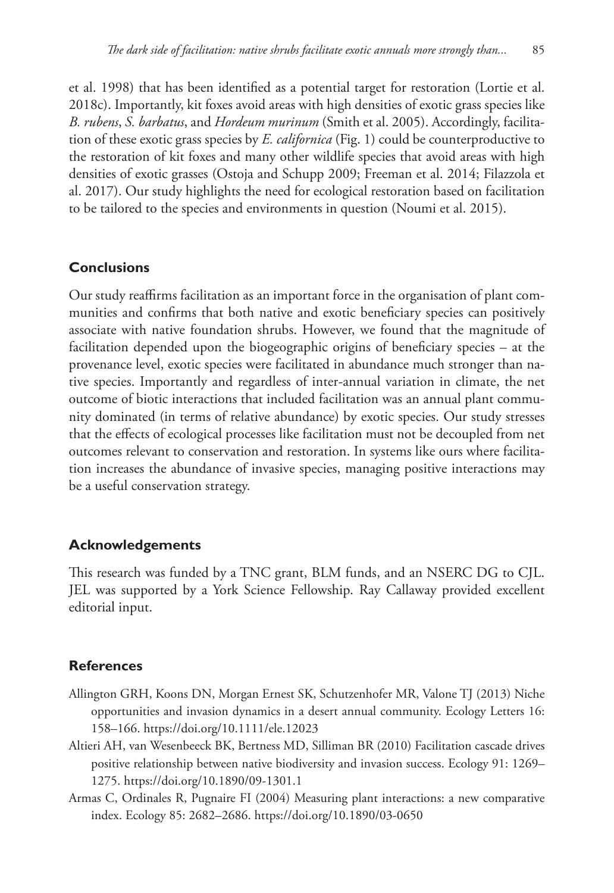et al. 1998) that has been identified as a potential target for restoration (Lortie et al. 2018c). Importantly, kit foxes avoid areas with high densities of exotic grass species like *B. rubens*, *S. barbatus*, and *Hordeum murinum* (Smith et al. 2005). Accordingly, facilitation of these exotic grass species by *E. californica* (Fig. 1) could be counterproductive to the restoration of kit foxes and many other wildlife species that avoid areas with high densities of exotic grasses (Ostoja and Schupp 2009; Freeman et al. 2014; Filazzola et al. 2017). Our study highlights the need for ecological restoration based on facilitation to be tailored to the species and environments in question (Noumi et al. 2015).

## **Conclusions**

Our study reaffirms facilitation as an important force in the organisation of plant communities and confirms that both native and exotic beneficiary species can positively associate with native foundation shrubs. However, we found that the magnitude of facilitation depended upon the biogeographic origins of beneficiary species – at the provenance level, exotic species were facilitated in abundance much stronger than native species. Importantly and regardless of inter-annual variation in climate, the net outcome of biotic interactions that included facilitation was an annual plant community dominated (in terms of relative abundance) by exotic species. Our study stresses that the effects of ecological processes like facilitation must not be decoupled from net outcomes relevant to conservation and restoration. In systems like ours where facilitation increases the abundance of invasive species, managing positive interactions may be a useful conservation strategy.

### **Acknowledgements**

This research was funded by a TNC grant, BLM funds, and an NSERC DG to CJL. JEL was supported by a York Science Fellowship. Ray Callaway provided excellent editorial input.

#### **References**

- Allington GRH, Koons DN, Morgan Ernest SK, Schutzenhofer MR, Valone TJ (2013) Niche opportunities and invasion dynamics in a desert annual community. Ecology Letters 16: 158–166.<https://doi.org/10.1111/ele.12023>
- Altieri AH, van Wesenbeeck BK, Bertness MD, Silliman BR (2010) Facilitation cascade drives positive relationship between native biodiversity and invasion success. Ecology 91: 1269– 1275.<https://doi.org/10.1890/09-1301.1>
- Armas C, Ordinales R, Pugnaire FI (2004) Measuring plant interactions: a new comparative index. Ecology 85: 2682–2686. <https://doi.org/10.1890/03-0650>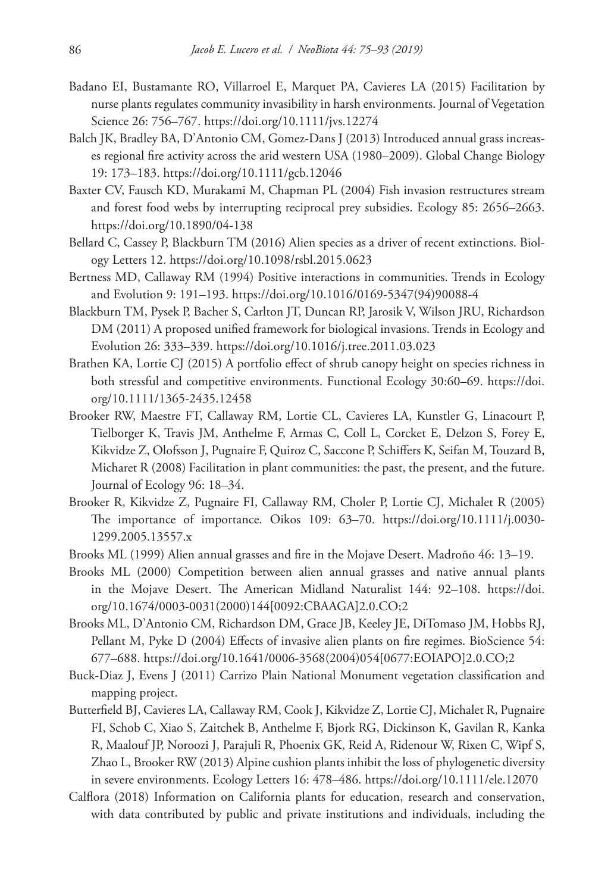- Badano EI, Bustamante RO, Villarroel E, Marquet PA, Cavieres LA (2015) Facilitation by nurse plants regulates community invasibility in harsh environments. Journal of Vegetation Science 26: 756–767. <https://doi.org/10.1111/jvs.12274>
- Balch JK, Bradley BA, D'Antonio CM, Gomez-Dans J (2013) Introduced annual grass increases regional fire activity across the arid western USA (1980–2009). Global Change Biology 19: 173–183.<https://doi.org/10.1111/gcb.12046>
- Baxter CV, Fausch KD, Murakami M, Chapman PL (2004) Fish invasion restructures stream and forest food webs by interrupting reciprocal prey subsidies. Ecology 85: 2656–2663. <https://doi.org/10.1890/04-138>
- Bellard C, Cassey P, Blackburn TM (2016) Alien species as a driver of recent extinctions. Biology Letters 12.<https://doi.org/10.1098/rsbl.2015.0623>
- Bertness MD, Callaway RM (1994) Positive interactions in communities. Trends in Ecology and Evolution 9: 191–193. [https://doi.org/10.1016/0169-5347\(94\)90088-4](https://doi.org/10.1016/0169-5347(94)90088-4)
- Blackburn TM, Pysek P, Bacher S, Carlton JT, Duncan RP, Jarosik V, Wilson JRU, Richardson DM (2011) A proposed unified framework for biological invasions. Trends in Ecology and Evolution 26: 333–339. <https://doi.org/10.1016/j.tree.2011.03.023>
- Brathen KA, Lortie CJ (2015) A portfolio effect of shrub canopy height on species richness in both stressful and competitive environments. Functional Ecology 30:60–69. [https://doi.](https://doi.org/10.1111/1365-2435.12458) [org/10.1111/1365-2435.12458](https://doi.org/10.1111/1365-2435.12458)
- Brooker RW, Maestre FT, Callaway RM, Lortie CL, Cavieres LA, Kunstler G, Linacourt P, Tielborger K, Travis JM, Anthelme F, Armas C, Coll L, Corcket E, Delzon S, Forey E, Kikvidze Z, Olofsson J, Pugnaire F, Quiroz C, Saccone P, Schiffers K, Seifan M, Touzard B, Micharet R (2008) Facilitation in plant communities: the past, the present, and the future. Journal of Ecology 96: 18–34.
- Brooker R, Kikvidze Z, Pugnaire FI, Callaway RM, Choler P, Lortie CJ, Michalet R (2005) The importance of importance. Oikos 109: 63–70. [https://doi.org/10.1111/j.0030-](https://doi.org/10.1111/j.0030-1299.2005.13557.x) [1299.2005.13557.x](https://doi.org/10.1111/j.0030-1299.2005.13557.x)
- Brooks ML (1999) Alien annual grasses and fire in the Mojave Desert. Madroño 46: 13–19.
- Brooks ML (2000) Competition between alien annual grasses and native annual plants in the Mojave Desert. The American Midland Naturalist 144: 92–108. [https://doi.](https://doi.org/10.1674/0003-0031(2000)144%5B0092:CBAAGA%5D2.0.CO;2) [org/10.1674/0003-0031\(2000\)144\[0092:CBAAGA\]2.0.CO;2](https://doi.org/10.1674/0003-0031(2000)144%5B0092:CBAAGA%5D2.0.CO;2)
- Brooks ML, D'Antonio CM, Richardson DM, Grace JB, Keeley JE, DiTomaso JM, Hobbs RJ, Pellant M, Pyke D (2004) Effects of invasive alien plants on fire regimes. BioScience 54: 677–688. [https://doi.org/10.1641/0006-3568\(2004\)054\[0677:EOIAPO\]2.0.CO;2](https://doi.org/10.1641/0006-3568(2004)054%5B0677:EOIAPO%5D2.0.CO;2)
- Buck-Diaz J, Evens J (2011) Carrizo Plain National Monument vegetation classification and mapping project.
- Butterfield BJ, Cavieres LA, Callaway RM, Cook J, Kikvidze Z, Lortie CJ, Michalet R, Pugnaire FI, Schob C, Xiao S, Zaitchek B, Anthelme F, Bjork RG, Dickinson K, Gavilan R, Kanka R, Maalouf JP, Noroozi J, Parajuli R, Phoenix GK, Reid A, Ridenour W, Rixen C, Wipf S, Zhao L, Brooker RW (2013) Alpine cushion plants inhibit the loss of phylogenetic diversity in severe environments. Ecology Letters 16: 478–486.<https://doi.org/10.1111/ele.12070>
- Calflora (2018) Information on California plants for education, research and conservation, with data contributed by public and private institutions and individuals, including the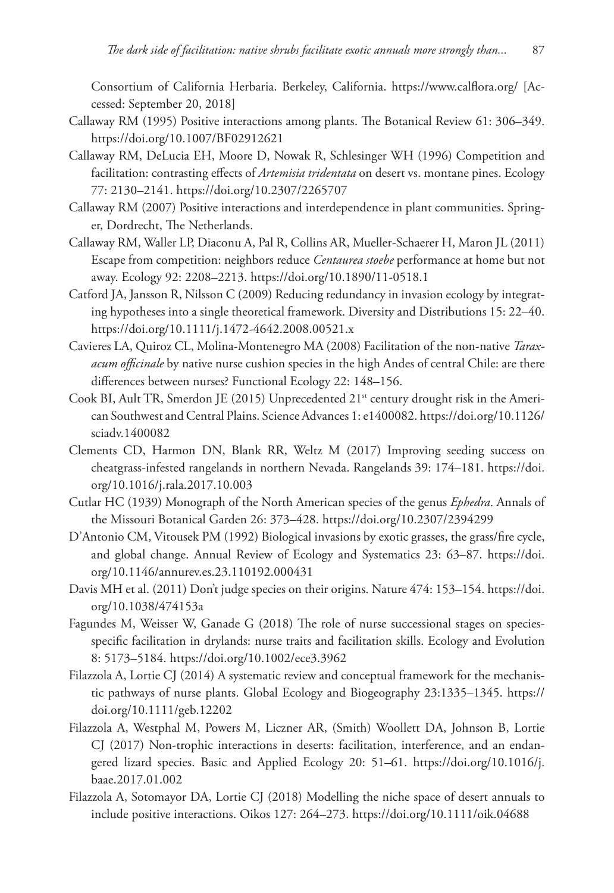Consortium of California Herbaria. Berkeley, California. <https://www.calflora.org/> [Accessed: September 20, 2018]

- Callaway RM (1995) Positive interactions among plants. The Botanical Review 61: 306–349. <https://doi.org/10.1007/BF02912621>
- Callaway RM, DeLucia EH, Moore D, Nowak R, Schlesinger WH (1996) Competition and facilitation: contrasting effects of *Artemisia tridentata* on desert vs. montane pines. Ecology 77: 2130–2141.<https://doi.org/10.2307/2265707>
- Callaway RM (2007) Positive interactions and interdependence in plant communities. Springer, Dordrecht, The Netherlands.
- Callaway RM, Waller LP, Diaconu A, Pal R, Collins AR, Mueller-Schaerer H, Maron JL (2011) Escape from competition: neighbors reduce *Centaurea stoebe* performance at home but not away. Ecology 92: 2208–2213. <https://doi.org/10.1890/11-0518.1>
- Catford JA, Jansson R, Nilsson C (2009) Reducing redundancy in invasion ecology by integrating hypotheses into a single theoretical framework. Diversity and Distributions 15: 22–40. <https://doi.org/10.1111/j.1472-4642.2008.00521.x>
- Cavieres LA, Quiroz CL, Molina-Montenegro MA (2008) Facilitation of the non-native *Taraxacum officinale* by native nurse cushion species in the high Andes of central Chile: are there differences between nurses? Functional Ecology 22: 148–156.
- Cook BI, Ault TR, Smerdon JE (2015) Unprecedented 21<sup>st</sup> century drought risk in the American Southwest and Central Plains. Science Advances 1: e1400082. [https://doi.org/10.1126/](https://doi.org/10.1126/sciadv.1400082) [sciadv.1400082](https://doi.org/10.1126/sciadv.1400082)
- Clements CD, Harmon DN, Blank RR, Weltz M (2017) Improving seeding success on cheatgrass-infested rangelands in northern Nevada. Rangelands 39: 174–181. [https://doi.](https://doi.org/10.1016/j.rala.2017.10.003) [org/10.1016/j.rala.2017.10.003](https://doi.org/10.1016/j.rala.2017.10.003)
- Cutlar HC (1939) Monograph of the North American species of the genus *Ephedra*. Annals of the Missouri Botanical Garden 26: 373–428. <https://doi.org/10.2307/2394299>
- D'Antonio CM, Vitousek PM (1992) Biological invasions by exotic grasses, the grass/fire cycle, and global change. Annual Review of Ecology and Systematics 23: 63–87. [https://doi.](https://doi.org/10.1146/annurev.es.23.110192.000431) [org/10.1146/annurev.es.23.110192.000431](https://doi.org/10.1146/annurev.es.23.110192.000431)
- Davis MH et al. (2011) Don't judge species on their origins. Nature 474: 153–154. [https://doi.](https://doi.org/10.1038/474153a) [org/10.1038/474153a](https://doi.org/10.1038/474153a)
- Fagundes M, Weisser W, Ganade G (2018) The role of nurse successional stages on speciesspecific facilitation in drylands: nurse traits and facilitation skills. Ecology and Evolution 8: 5173–5184.<https://doi.org/10.1002/ece3.3962>
- Filazzola A, Lortie CJ (2014) A systematic review and conceptual framework for the mechanistic pathways of nurse plants. Global Ecology and Biogeography 23:1335–1345. [https://](https://doi.org/10.1111/geb.12202) [doi.org/10.1111/geb.12202](https://doi.org/10.1111/geb.12202)
- Filazzola A, Westphal M, Powers M, Liczner AR, (Smith) Woollett DA, Johnson B, Lortie CJ (2017) Non-trophic interactions in deserts: facilitation, interference, and an endangered lizard species. Basic and Applied Ecology 20: 51–61. [https://doi.org/10.1016/j.](https://doi.org/10.1016/j.baae.2017.01.002) [baae.2017.01.002](https://doi.org/10.1016/j.baae.2017.01.002)
- Filazzola A, Sotomayor DA, Lortie CJ (2018) Modelling the niche space of desert annuals to include positive interactions. Oikos 127: 264–273. <https://doi.org/10.1111/oik.04688>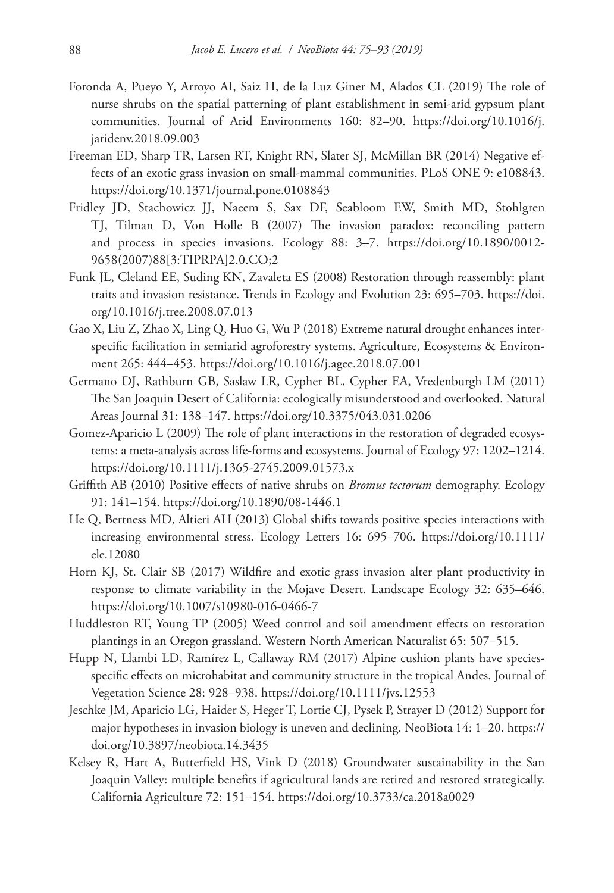- Foronda A, Pueyo Y, Arroyo AI, Saiz H, de la Luz Giner M, Alados CL (2019) The role of nurse shrubs on the spatial patterning of plant establishment in semi-arid gypsum plant communities. Journal of Arid Environments 160: 82–90. [https://doi.org/10.1016/j.](https://doi.org/10.1016/j.jaridenv.2018.09.003) [jaridenv.2018.09.003](https://doi.org/10.1016/j.jaridenv.2018.09.003)
- Freeman ED, Sharp TR, Larsen RT, Knight RN, Slater SJ, McMillan BR (2014) Negative effects of an exotic grass invasion on small-mammal communities. PLoS ONE 9: e108843. <https://doi.org/10.1371/journal.pone.0108843>
- Fridley JD, Stachowicz JJ, Naeem S, Sax DF, Seabloom EW, Smith MD, Stohlgren TJ, Tilman D, Von Holle B (2007) The invasion paradox: reconciling pattern and process in species invasions. Ecology 88: 3–7. [https://doi.org/10.1890/0012-](https://doi.org/10.1890/0012-9658(2007)88%5B3:TIPRPA%5D2.0.CO;2) [9658\(2007\)88\[3:TIPRPA\]2.0.CO;2](https://doi.org/10.1890/0012-9658(2007)88%5B3:TIPRPA%5D2.0.CO;2)
- Funk JL, Cleland EE, Suding KN, Zavaleta ES (2008) Restoration through reassembly: plant traits and invasion resistance. Trends in Ecology and Evolution 23: 695–703. [https://doi.](https://doi.org/10.1016/j.tree.2008.07.013) [org/10.1016/j.tree.2008.07.013](https://doi.org/10.1016/j.tree.2008.07.013)
- Gao X, Liu Z, Zhao X, Ling Q, Huo G, Wu P (2018) Extreme natural drought enhances interspecific facilitation in semiarid agroforestry systems. Agriculture, Ecosystems & Environment 265: 444–453.<https://doi.org/10.1016/j.agee.2018.07.001>
- Germano DJ, Rathburn GB, Saslaw LR, Cypher BL, Cypher EA, Vredenburgh LM (2011) The San Joaquin Desert of California: ecologically misunderstood and overlooked. Natural Areas Journal 31: 138–147.<https://doi.org/10.3375/043.031.0206>
- Gomez-Aparicio L (2009) The role of plant interactions in the restoration of degraded ecosystems: a meta-analysis across life-forms and ecosystems. Journal of Ecology 97: 1202–1214. <https://doi.org/10.1111/j.1365-2745.2009.01573.x>
- Griffith AB (2010) Positive effects of native shrubs on *Bromus tectorum* demography. Ecology 91: 141–154.<https://doi.org/10.1890/08-1446.1>
- He Q, Bertness MD, Altieri AH (2013) Global shifts towards positive species interactions with increasing environmental stress. Ecology Letters 16: 695–706. [https://doi.org/10.1111/](https://doi.org/10.1111/ele.12080) [ele.12080](https://doi.org/10.1111/ele.12080)
- Horn KJ, St. Clair SB (2017) Wildfire and exotic grass invasion alter plant productivity in response to climate variability in the Mojave Desert. Landscape Ecology 32: 635–646. <https://doi.org/10.1007/s10980-016-0466-7>
- Huddleston RT, Young TP (2005) Weed control and soil amendment effects on restoration plantings in an Oregon grassland. Western North American Naturalist 65: 507–515.
- Hupp N, Llambi LD, Ramírez L, Callaway RM (2017) Alpine cushion plants have speciesspecific effects on microhabitat and community structure in the tropical Andes. Journal of Vegetation Science 28: 928–938.<https://doi.org/10.1111/jvs.12553>
- Jeschke JM, Aparicio LG, Haider S, Heger T, Lortie CJ, Pysek P, Strayer D (2012) Support for major hypotheses in invasion biology is uneven and declining. NeoBiota 14: 1–20. [https://](https://doi.org/10.3897/neobiota.14.3435) [doi.org/10.3897/neobiota.14.3435](https://doi.org/10.3897/neobiota.14.3435)
- Kelsey R, Hart A, Butterfield HS, Vink D (2018) Groundwater sustainability in the San Joaquin Valley: multiple benefits if agricultural lands are retired and restored strategically. California Agriculture 72: 151–154. <https://doi.org/10.3733/ca.2018a0029>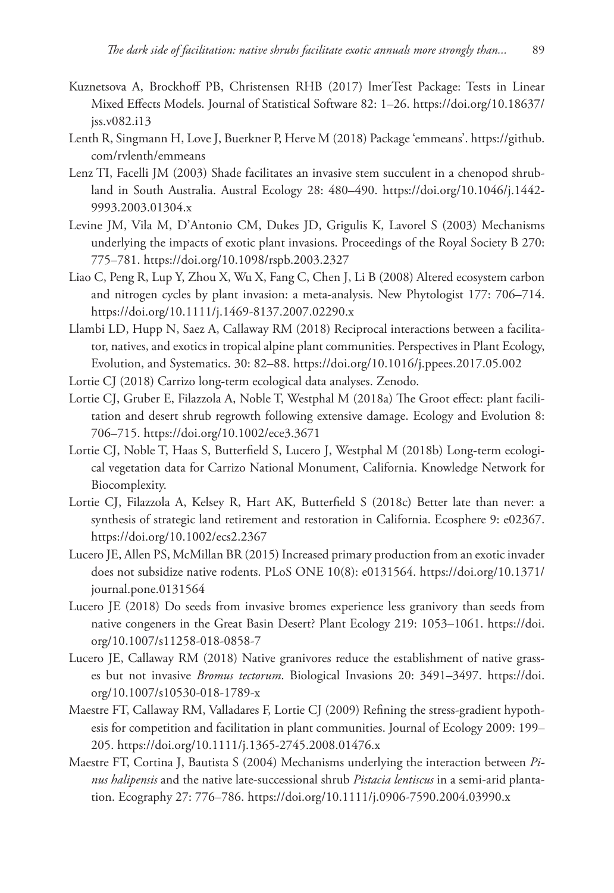- Kuznetsova A, Brockhoff PB, Christensen RHB (2017) lmerTest Package: Tests in Linear Mixed Effects Models. Journal of Statistical Software 82: 1–26. [https://doi.org/10.18637/](https://doi.org/10.18637/jss.v082.i13) [jss.v082.i13](https://doi.org/10.18637/jss.v082.i13)
- Lenth R, Singmann H, Love J, Buerkner P, Herve M (2018) Package 'emmeans'. [https://github.](https://github.com/rvlenth/emmeans) [com/rvlenth/emmeans](https://github.com/rvlenth/emmeans)
- Lenz TI, Facelli JM (2003) Shade facilitates an invasive stem succulent in a chenopod shrubland in South Australia. Austral Ecology 28: 480–490. [https://doi.org/10.1046/j.1442-](https://doi.org/10.1046/j.1442-9993.2003.01304.x) [9993.2003.01304.x](https://doi.org/10.1046/j.1442-9993.2003.01304.x)
- Levine JM, Vila M, D'Antonio CM, Dukes JD, Grigulis K, Lavorel S (2003) Mechanisms underlying the impacts of exotic plant invasions. Proceedings of the Royal Society B 270: 775–781.<https://doi.org/10.1098/rspb.2003.2327>
- Liao C, Peng R, Lup Y, Zhou X, Wu X, Fang C, Chen J, Li B (2008) Altered ecosystem carbon and nitrogen cycles by plant invasion: a meta-analysis. New Phytologist 177: 706–714. <https://doi.org/10.1111/j.1469-8137.2007.02290.x>
- Llambi LD, Hupp N, Saez A, Callaway RM (2018) Reciprocal interactions between a facilitator, natives, and exotics in tropical alpine plant communities. Perspectives in Plant Ecology, Evolution, and Systematics. 30: 82–88. <https://doi.org/10.1016/j.ppees.2017.05.002>

Lortie CJ (2018) Carrizo long-term ecological data analyses. Zenodo.

- Lortie CJ, Gruber E, Filazzola A, Noble T, Westphal M (2018a) The Groot effect: plant facilitation and desert shrub regrowth following extensive damage. Ecology and Evolution 8: 706–715.<https://doi.org/10.1002/ece3.3671>
- Lortie CJ, Noble T, Haas S, Butterfield S, Lucero J, Westphal M (2018b) Long-term ecological vegetation data for Carrizo National Monument, California. Knowledge Network for Biocomplexity.
- Lortie CJ, Filazzola A, Kelsey R, Hart AK, Butterfield S (2018c) Better late than never: a synthesis of strategic land retirement and restoration in California. Ecosphere 9: e02367. <https://doi.org/10.1002/ecs2.2367>
- Lucero JE, Allen PS, McMillan BR (2015) Increased primary production from an exotic invader does not subsidize native rodents. PLoS ONE 10(8): e0131564. [https://doi.org/10.1371/](https://doi.org/10.1371/journal.pone.0131564) [journal.pone.0131564](https://doi.org/10.1371/journal.pone.0131564)
- Lucero JE (2018) Do seeds from invasive bromes experience less granivory than seeds from native congeners in the Great Basin Desert? Plant Ecology 219: 1053–1061. [https://doi.](https://doi.org/10.1007/s11258-018-0858-7) [org/10.1007/s11258-018-0858-7](https://doi.org/10.1007/s11258-018-0858-7)
- Lucero JE, Callaway RM (2018) Native granivores reduce the establishment of native grasses but not invasive *Bromus tectorum*. Biological Invasions 20: 3491–3497. [https://doi.](https://doi.org/10.1007/s10530-018-1789-x) [org/10.1007/s10530-018-1789-x](https://doi.org/10.1007/s10530-018-1789-x)
- Maestre FT, Callaway RM, Valladares F, Lortie CJ (2009) Refining the stress-gradient hypothesis for competition and facilitation in plant communities. Journal of Ecology 2009: 199– 205.<https://doi.org/10.1111/j.1365-2745.2008.01476.x>
- Maestre FT, Cortina J, Bautista S (2004) Mechanisms underlying the interaction between *Pinus halipensis* and the native late-successional shrub *Pistacia lentiscus* in a semi-arid plantation. Ecography 27: 776–786. <https://doi.org/10.1111/j.0906-7590.2004.03990.x>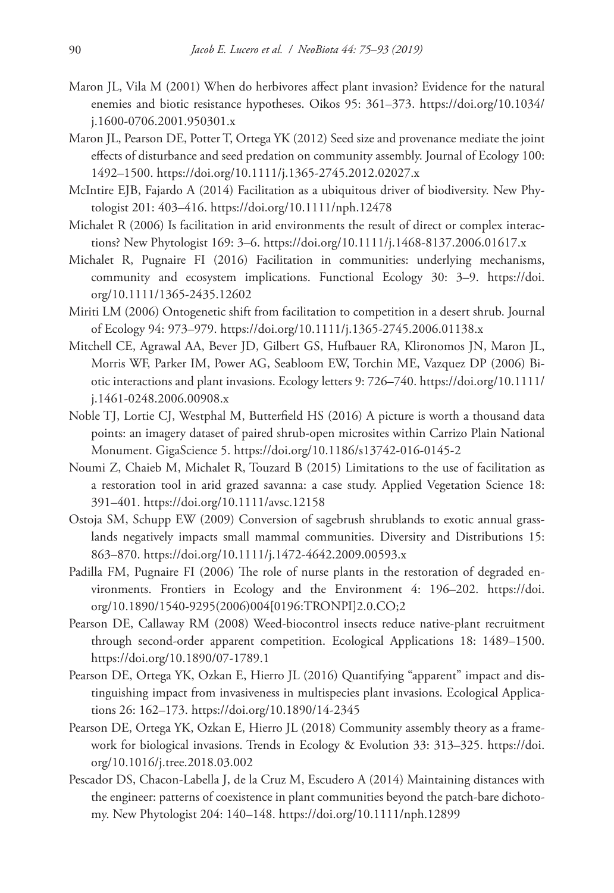- Maron JL, Vila M (2001) When do herbivores affect plant invasion? Evidence for the natural enemies and biotic resistance hypotheses. Oikos 95: 361–373. [https://doi.org/10.1034/](https://doi.org/10.1034/j.1600-0706.2001.950301.x) [j.1600-0706.2001.950301.x](https://doi.org/10.1034/j.1600-0706.2001.950301.x)
- Maron JL, Pearson DE, Potter T, Ortega YK (2012) Seed size and provenance mediate the joint effects of disturbance and seed predation on community assembly. Journal of Ecology 100: 1492–1500.<https://doi.org/10.1111/j.1365-2745.2012.02027.x>
- McIntire EJB, Fajardo A (2014) Facilitation as a ubiquitous driver of biodiversity. New Phytologist 201: 403–416. <https://doi.org/10.1111/nph.12478>
- Michalet R (2006) Is facilitation in arid environments the result of direct or complex interactions? New Phytologist 169: 3–6. <https://doi.org/10.1111/j.1468-8137.2006.01617.x>
- Michalet R, Pugnaire FI (2016) Facilitation in communities: underlying mechanisms, community and ecosystem implications. Functional Ecology 30: 3–9. [https://doi.](https://doi.org/10.1111/1365-2435.12602) [org/10.1111/1365-2435.12602](https://doi.org/10.1111/1365-2435.12602)
- Miriti LM (2006) Ontogenetic shift from facilitation to competition in a desert shrub. Journal of Ecology 94: 973–979.<https://doi.org/10.1111/j.1365-2745.2006.01138.x>
- Mitchell CE, Agrawal AA, Bever JD, Gilbert GS, Hufbauer RA, Klironomos JN, Maron JL, Morris WF, Parker IM, Power AG, Seabloom EW, Torchin ME, Vazquez DP (2006) Biotic interactions and plant invasions. Ecology letters 9: 726–740. [https://doi.org/10.1111/](https://doi.org/10.1111/j.1461-0248.2006.00908.x) [j.1461-0248.2006.00908.x](https://doi.org/10.1111/j.1461-0248.2006.00908.x)
- Noble TJ, Lortie CJ, Westphal M, Butterfield HS (2016) A picture is worth a thousand data points: an imagery dataset of paired shrub-open microsites within Carrizo Plain National Monument. GigaScience 5.<https://doi.org/10.1186/s13742-016-0145-2>
- Noumi Z, Chaieb M, Michalet R, Touzard B (2015) Limitations to the use of facilitation as a restoration tool in arid grazed savanna: a case study. Applied Vegetation Science 18: 391–401.<https://doi.org/10.1111/avsc.12158>
- Ostoja SM, Schupp EW (2009) Conversion of sagebrush shrublands to exotic annual grasslands negatively impacts small mammal communities. Diversity and Distributions 15: 863–870.<https://doi.org/10.1111/j.1472-4642.2009.00593.x>
- Padilla FM, Pugnaire FI (2006) The role of nurse plants in the restoration of degraded environments. Frontiers in Ecology and the Environment 4: 196–202. [https://doi.](https://doi.org/10.1890/1540-9295(2006)004%5B0196:TRONPI%5D2.0.CO;2) [org/10.1890/1540-9295\(2006\)004\[0196:TRONPI\]2.0.CO;2](https://doi.org/10.1890/1540-9295(2006)004%5B0196:TRONPI%5D2.0.CO;2)
- Pearson DE, Callaway RM (2008) Weed-biocontrol insects reduce native-plant recruitment through second-order apparent competition. Ecological Applications 18: 1489–1500. <https://doi.org/10.1890/07-1789.1>
- Pearson DE, Ortega YK, Ozkan E, Hierro JL (2016) Quantifying "apparent" impact and distinguishing impact from invasiveness in multispecies plant invasions. Ecological Applications 26: 162–173. <https://doi.org/10.1890/14-2345>
- Pearson DE, Ortega YK, Ozkan E, Hierro JL (2018) Community assembly theory as a framework for biological invasions. Trends in Ecology & Evolution 33: 313–325. [https://doi.](https://doi.org/10.1016/j.tree.2018.03.002) [org/10.1016/j.tree.2018.03.002](https://doi.org/10.1016/j.tree.2018.03.002)
- Pescador DS, Chacon-Labella J, de la Cruz M, Escudero A (2014) Maintaining distances with the engineer: patterns of coexistence in plant communities beyond the patch-bare dichotomy. New Phytologist 204: 140–148. <https://doi.org/10.1111/nph.12899>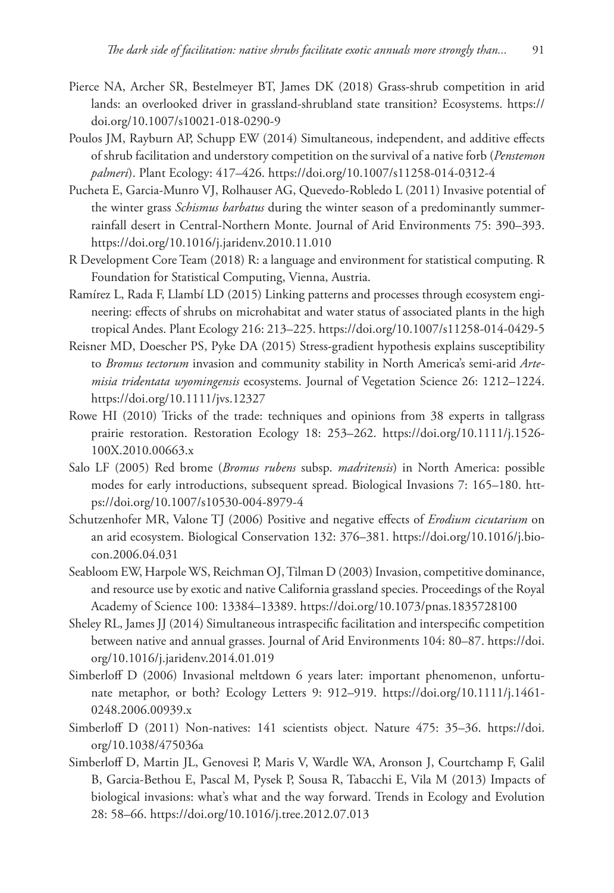- Pierce NA, Archer SR, Bestelmeyer BT, James DK (2018) Grass-shrub competition in arid lands: an overlooked driver in grassland-shrubland state transition? Ecosystems. [https://](https://doi.org/10.1007/s10021-018-0290-9) [doi.org/10.1007/s10021-018-0290-9](https://doi.org/10.1007/s10021-018-0290-9)
- Poulos JM, Rayburn AP, Schupp EW (2014) Simultaneous, independent, and additive effects of shrub facilitation and understory competition on the survival of a native forb (*Penstemon palmeri*). Plant Ecology: 417–426. <https://doi.org/10.1007/s11258-014-0312-4>
- Pucheta E, Garcia-Munro VJ, Rolhauser AG, Quevedo-Robledo L (2011) Invasive potential of the winter grass *Schismus barbatus* during the winter season of a predominantly summerrainfall desert in Central-Northern Monte. Journal of Arid Environments 75: 390–393. <https://doi.org/10.1016/j.jaridenv.2010.11.010>
- R Development Core Team (2018) R: a language and environment for statistical computing. R Foundation for Statistical Computing, Vienna, Austria.
- Ramírez L, Rada F, Llambí LD (2015) Linking patterns and processes through ecosystem engineering: effects of shrubs on microhabitat and water status of associated plants in the high tropical Andes. Plant Ecology 216: 213–225.<https://doi.org/10.1007/s11258-014-0429-5>
- Reisner MD, Doescher PS, Pyke DA (2015) Stress-gradient hypothesis explains susceptibility to *Bromus tectorum* invasion and community stability in North America's semi-arid *Artemisia tridentata wyomingensis* ecosystems. Journal of Vegetation Science 26: 1212–1224. <https://doi.org/10.1111/jvs.12327>
- Rowe HI (2010) Tricks of the trade: techniques and opinions from 38 experts in tallgrass prairie restoration. Restoration Ecology 18: 253–262. [https://doi.org/10.1111/j.1526-](https://doi.org/10.1111/j.1526-100X.2010.00663.x) [100X.2010.00663.x](https://doi.org/10.1111/j.1526-100X.2010.00663.x)
- Salo LF (2005) Red brome (*Bromus rubens* subsp. *madritensis*) in North America: possible modes for early introductions, subsequent spread. Biological Invasions 7: 165–180. [htt](https://doi.org/10.1007/s10530-004-8979-4)[ps://doi.org/10.1007/s10530-004-8979-4](https://doi.org/10.1007/s10530-004-8979-4)
- Schutzenhofer MR, Valone TJ (2006) Positive and negative effects of *Erodium cicutarium* on an arid ecosystem. Biological Conservation 132: 376–381. [https://doi.org/10.1016/j.bio](https://doi.org/10.1016/j.biocon.2006.04.031)[con.2006.04.031](https://doi.org/10.1016/j.biocon.2006.04.031)
- Seabloom EW, Harpole WS, Reichman OJ, Tilman D (2003) Invasion, competitive dominance, and resource use by exotic and native California grassland species. Proceedings of the Royal Academy of Science 100: 13384–13389. <https://doi.org/10.1073/pnas.1835728100>
- Sheley RL, James JJ (2014) Simultaneous intraspecific facilitation and interspecific competition between native and annual grasses. Journal of Arid Environments 104: 80–87. [https://doi.](https://doi.org/10.1016/j.jaridenv.2014.01.019) [org/10.1016/j.jaridenv.2014.01.019](https://doi.org/10.1016/j.jaridenv.2014.01.019)
- Simberloff D (2006) Invasional meltdown 6 years later: important phenomenon, unfortunate metaphor, or both? Ecology Letters 9: 912–919. [https://doi.org/10.1111/j.1461-](https://doi.org/10.1111/j.1461-0248.2006.00939.x) [0248.2006.00939.x](https://doi.org/10.1111/j.1461-0248.2006.00939.x)
- Simberloff D (2011) Non-natives: 141 scientists object. Nature 475: 35–36. [https://doi.](https://doi.org/10.1038/475036a) [org/10.1038/475036a](https://doi.org/10.1038/475036a)
- Simberloff D, Martin JL, Genovesi P, Maris V, Wardle WA, Aronson J, Courtchamp F, Galil B, Garcia-Bethou E, Pascal M, Pysek P, Sousa R, Tabacchi E, Vila M (2013) Impacts of biological invasions: what's what and the way forward. Trends in Ecology and Evolution 28: 58–66.<https://doi.org/10.1016/j.tree.2012.07.013>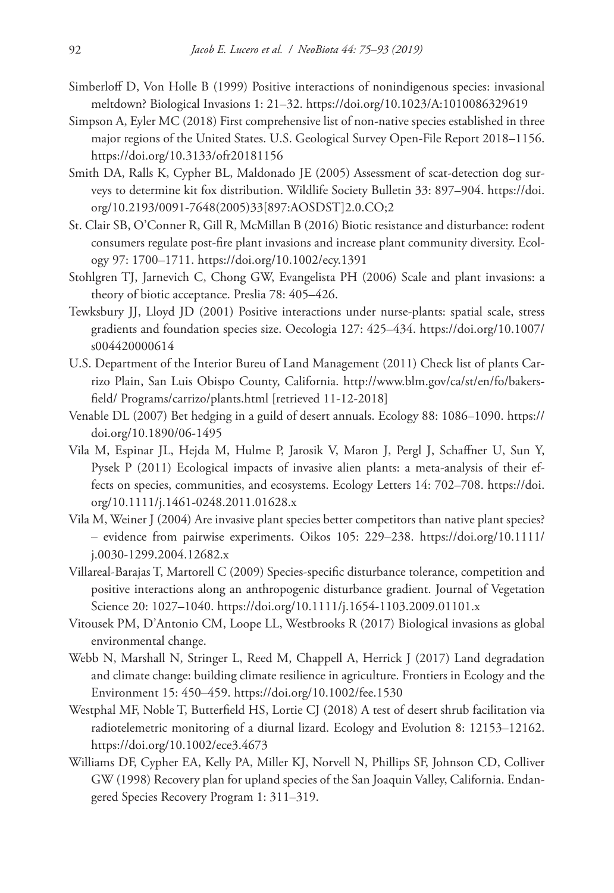- Simberloff D, Von Holle B (1999) Positive interactions of nonindigenous species: invasional meltdown? Biological Invasions 1: 21–32.<https://doi.org/10.1023/A:1010086329619>
- Simpson A, Eyler MC (2018) First comprehensive list of non-native species established in three major regions of the United States. U.S. Geological Survey Open-File Report 2018–1156. <https://doi.org/10.3133/ofr20181156>
- Smith DA, Ralls K, Cypher BL, Maldonado JE (2005) Assessment of scat-detection dog surveys to determine kit fox distribution. Wildlife Society Bulletin 33: 897–904. [https://doi.](https://doi.org/10.2193/0091-7648(2005)33%5B897:AOSDST%5D2.0.CO;2) [org/10.2193/0091-7648\(2005\)33\[897:AOSDST\]2.0.CO;2](https://doi.org/10.2193/0091-7648(2005)33%5B897:AOSDST%5D2.0.CO;2)
- St. Clair SB, O'Conner R, Gill R, McMillan B (2016) Biotic resistance and disturbance: rodent consumers regulate post-fire plant invasions and increase plant community diversity. Ecology 97: 1700–1711. <https://doi.org/10.1002/ecy.1391>
- Stohlgren TJ, Jarnevich C, Chong GW, Evangelista PH (2006) Scale and plant invasions: a theory of biotic acceptance. Preslia 78: 405–426.
- Tewksbury JJ, Lloyd JD (2001) Positive interactions under nurse-plants: spatial scale, stress gradients and foundation species size. Oecologia 127: 425–434. [https://doi.org/10.1007/](https://doi.org/10.1007/s004420000614) [s004420000614](https://doi.org/10.1007/s004420000614)
- U.S. Department of the Interior Bureu of Land Management (2011) Check list of plants Carrizo Plain, San Luis Obispo County, California. [http://www.blm.gov/ca/st/en/fo/bakers](http://www.blm.gov/ca/st/en/fo/bakersfield/)[field/](http://www.blm.gov/ca/st/en/fo/bakersfield/) Programs/carrizo/plants.html [retrieved 11-12-2018]
- Venable DL (2007) Bet hedging in a guild of desert annuals. Ecology 88: 1086–1090. [https://](https://doi.org/10.1890/06-1495) [doi.org/10.1890/06-1495](https://doi.org/10.1890/06-1495)
- Vila M, Espinar JL, Hejda M, Hulme P, Jarosik V, Maron J, Pergl J, Schaffner U, Sun Y, Pysek P (2011) Ecological impacts of invasive alien plants: a meta-analysis of their effects on species, communities, and ecosystems. Ecology Letters 14: 702–708. [https://doi.](https://doi.org/10.1111/j.1461-0248.2011.01628.x) [org/10.1111/j.1461-0248.2011.01628.x](https://doi.org/10.1111/j.1461-0248.2011.01628.x)
- Vila M, Weiner J (2004) Are invasive plant species better competitors than native plant species? – evidence from pairwise experiments. Oikos 105: 229–238. [https://doi.org/10.1111/](https://doi.org/10.1111/j.0030-1299.2004.12682.x) [j.0030-1299.2004.12682.x](https://doi.org/10.1111/j.0030-1299.2004.12682.x)
- Villareal-Barajas T, Martorell C (2009) Species-specific disturbance tolerance, competition and positive interactions along an anthropogenic disturbance gradient. Journal of Vegetation Science 20: 1027–1040. <https://doi.org/10.1111/j.1654-1103.2009.01101.x>
- Vitousek PM, D'Antonio CM, Loope LL, Westbrooks R (2017) Biological invasions as global environmental change.
- Webb N, Marshall N, Stringer L, Reed M, Chappell A, Herrick J (2017) Land degradation and climate change: building climate resilience in agriculture. Frontiers in Ecology and the Environment 15: 450–459.<https://doi.org/10.1002/fee.1530>
- Westphal MF, Noble T, Butterfield HS, Lortie CJ (2018) A test of desert shrub facilitation via radiotelemetric monitoring of a diurnal lizard. Ecology and Evolution 8: 12153–12162. <https://doi.org/10.1002/ece3.4673>
- Williams DF, Cypher EA, Kelly PA, Miller KJ, Norvell N, Phillips SF, Johnson CD, Colliver GW (1998) Recovery plan for upland species of the San Joaquin Valley, California. Endangered Species Recovery Program 1: 311–319.